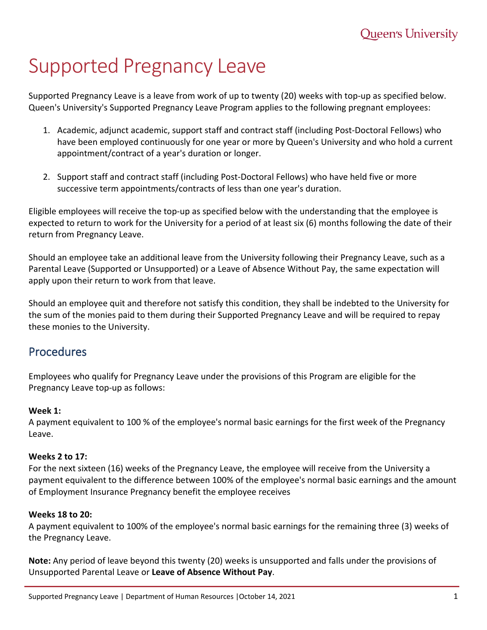# Supported Pregnancy Leave

Supported Pregnancy Leave is a leave from work of up to twenty (20) weeks with top-up as specified below. Queen's University's Supported Pregnancy Leave Program applies to the following pregnant employees:

- 1. Academic, adjunct academic, support staff and contract staff (including Post-Doctoral Fellows) who have been employed continuously for one year or more by Queen's University and who hold a current appointment/contract of a year's duration or longer.
- 2. Support staff and contract staff (including Post-Doctoral Fellows) who have held five or more successive term appointments/contracts of less than one year's duration.

Eligible employees will receive the top-up as specified below with the understanding that the employee is expected to return to work for the University for a period of at least six (6) months following the date of their return from Pregnancy Leave.

Should an employee take an additional leave from the University following their Pregnancy Leave, such as a Parental Leave (Supported or Unsupported) or a Leave of Absence Without Pay, the same expectation will apply upon their return to work from that leave.

Should an employee quit and therefore not satisfy this condition, they shall be indebted to the University for the sum of the monies paid to them during their Supported Pregnancy Leave and will be required to repay these monies to the University.

## **Procedures**

Employees who qualify for Pregnancy Leave under the provisions of this Program are eligible for the Pregnancy Leave top-up as follows:

#### **Week 1:**

A payment equivalent to 100 % of the employee's normal basic earnings for the first week of the Pregnancy Leave.

#### **Weeks 2 to 17:**

For the next sixteen (16) weeks of the Pregnancy Leave, the employee will receive from the University a payment equivalent to the difference between 100% of the employee's normal basic earnings and the amount of Employment Insurance Pregnancy benefit the employee receives

#### **Weeks 18 to 20:**

A payment equivalent to 100% of the employee's normal basic earnings for the remaining three (3) weeks of the Pregnancy Leave.

**Note:** Any period of leave beyond this twenty (20) weeks is unsupported and falls under the provisions of Unsupported Parental Leave or **Leave of Absence Without Pay**.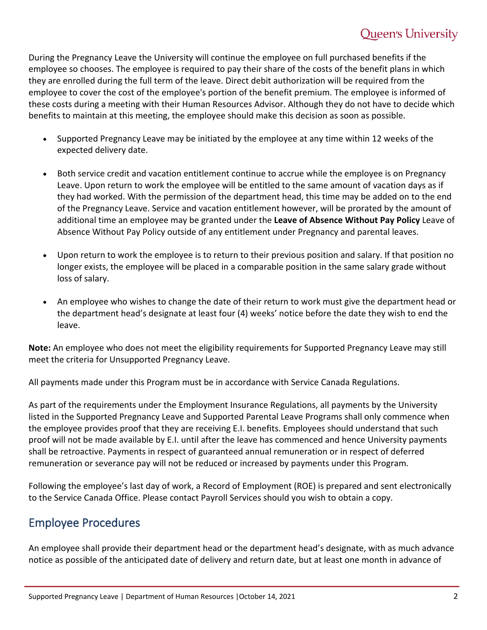During the Pregnancy Leave the University will continue the employee on full purchased benefits if the employee so chooses. The employee is required to pay their share of the costs of the benefit plans in which they are enrolled during the full term of the leave. Direct debit authorization will be required from the employee to cover the cost of the employee's portion of the benefit premium. The employee is informed of these costs during a meeting with their Human Resources Advisor. Although they do not have to decide which benefits to maintain at this meeting, the employee should make this decision as soon as possible.

- Supported Pregnancy Leave may be initiated by the employee at any time within 12 weeks of the expected delivery date.
- Both service credit and vacation entitlement continue to accrue while the employee is on Pregnancy Leave. Upon return to work the employee will be entitled to the same amount of vacation days as if they had worked. With the permission of the department head, this time may be added on to the end of the Pregnancy Leave. Service and vacation entitlement however, will be prorated by the amount of additional time an employee may be granted under the **Leave of Absence Without Pay Policy** Leave of Absence Without Pay Policy outside of any entitlement under Pregnancy and parental leaves.
- Upon return to work the employee is to return to their previous position and salary. If that position no longer exists, the employee will be placed in a comparable position in the same salary grade without loss of salary.
- An employee who wishes to change the date of their return to work must give the department head or the department head's designate at least four (4) weeks' notice before the date they wish to end the leave.

**Note:** An employee who does not meet the eligibility requirements for Supported Pregnancy Leave may still meet the criteria for Unsupported Pregnancy Leave.

All payments made under this Program must be in accordance with Service Canada Regulations.

As part of the requirements under the Employment Insurance Regulations, all payments by the University listed in the Supported Pregnancy Leave and Supported Parental Leave Programs shall only commence when the employee provides proof that they are receiving E.I. benefits. Employees should understand that such proof will not be made available by E.I. until after the leave has commenced and hence University payments shall be retroactive. Payments in respect of guaranteed annual remuneration or in respect of deferred remuneration or severance pay will not be reduced or increased by payments under this Program.

Following the employee's last day of work, a Record of Employment (ROE) is prepared and sent electronically to the Service Canada Office. Please contact Payroll Services should you wish to obtain a copy.

# Employee Procedures

An employee shall provide their department head or the department head's designate, with as much advance notice as possible of the anticipated date of delivery and return date, but at least one month in advance of